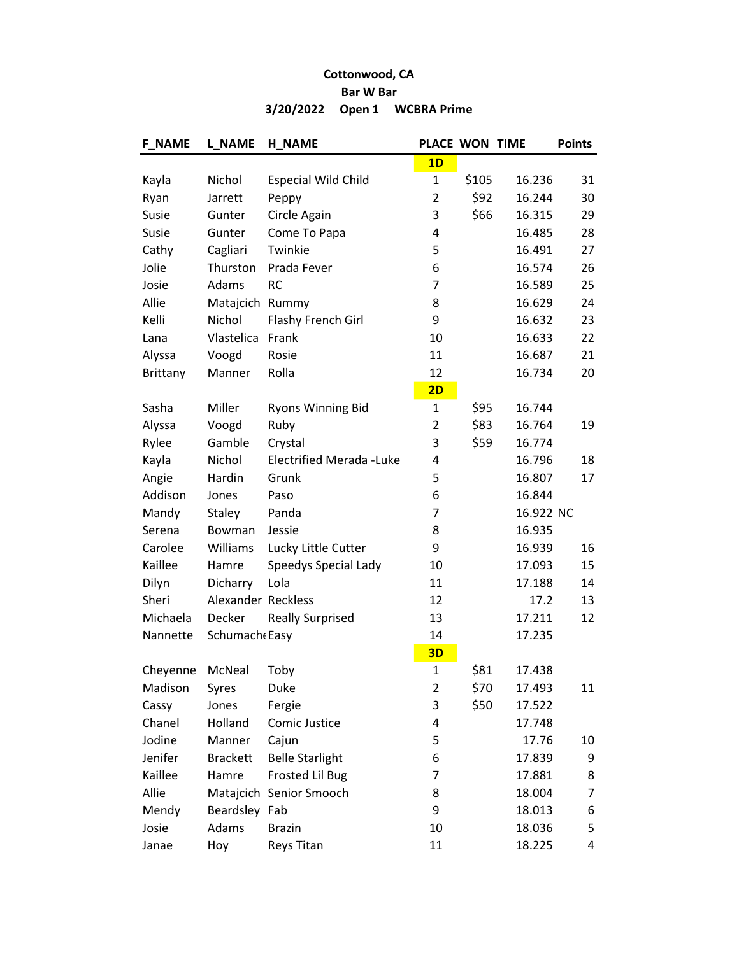## Cottonwood, CA Bar W Bar 3/20/2022 Open 1 WCBRA Prime

| <b>F_NAME</b>   | <b>L NAME</b>      | <b>H NAME</b>                   | PLACE WON TIME |       |           | <b>Points</b> |
|-----------------|--------------------|---------------------------------|----------------|-------|-----------|---------------|
|                 |                    |                                 | 1D             |       |           |               |
| Kayla           | Nichol             | <b>Especial Wild Child</b>      | $\mathbf{1}$   | \$105 | 16.236    | 31            |
| Ryan            | Jarrett            | Peppy                           | 2              | \$92  | 16.244    | 30            |
| Susie           | Gunter             | Circle Again                    | 3              | \$66  | 16.315    | 29            |
| Susie           | Gunter             | Come To Papa                    | 4              |       | 16.485    | 28            |
| Cathy           | Cagliari           | Twinkie                         | 5              |       | 16.491    | 27            |
| Jolie           | Thurston           | Prada Fever                     | 6              |       | 16.574    | 26            |
| Josie           | Adams              | <b>RC</b>                       | 7              |       | 16.589    | 25            |
| Allie           | Matajcich Rummy    |                                 | 8              |       | 16.629    | 24            |
| Kelli           | Nichol             | Flashy French Girl              | 9              |       | 16.632    | 23            |
| Lana            | Vlastelica         | Frank                           | 10             |       | 16.633    | 22            |
| Alyssa          | Voogd              | Rosie                           | 11             |       | 16.687    | 21            |
| <b>Brittany</b> | Manner             | Rolla                           | 12             |       | 16.734    | 20            |
|                 |                    |                                 | 2D             |       |           |               |
| Sasha           | Miller             | <b>Ryons Winning Bid</b>        | 1              | \$95  | 16.744    |               |
| Alyssa          | Voogd              | Ruby                            | 2              | \$83  | 16.764    | 19            |
| Rylee           | Gamble             | Crystal                         | 3              | \$59  | 16.774    |               |
| Kayla           | Nichol             | <b>Electrified Merada -Luke</b> | 4              |       | 16.796    | 18            |
| Angie           | Hardin             | Grunk                           | 5              |       | 16.807    | 17            |
| Addison         | Jones              | Paso                            | 6              |       | 16.844    |               |
| Mandy           | <b>Staley</b>      | Panda                           | 7              |       | 16.922 NC |               |
| Serena          | Bowman             | Jessie                          | 8              |       | 16.935    |               |
| Carolee         | Williams           | Lucky Little Cutter             | 9              |       | 16.939    | 16            |
| Kaillee         | Hamre              | Speedys Special Lady            | 10             |       | 17.093    | 15            |
| Dilyn           | Dicharry           | Lola                            | 11             |       | 17.188    | 14            |
| Sheri           | Alexander Reckless |                                 | 12             |       | 17.2      | 13            |
| Michaela        | Decker             | <b>Really Surprised</b>         | 13             |       | 17.211    | 12            |
| Nannette        | Schumach Easy      |                                 | 14             |       | 17.235    |               |
|                 |                    |                                 | 3D             |       |           |               |
| Cheyenne        | McNeal             | Toby                            | $\mathbf{1}$   | \$81  | 17.438    |               |
| Madison         | Syres              | Duke                            | 2              | \$70  | 17.493    | 11            |
| Cassy           | Jones              | Fergie                          | 3              | \$50  | 17.522    |               |
| Chanel          | Holland            | Comic Justice                   | 4              |       | 17.748    |               |
| Jodine          | Manner             | Cajun                           | 5              |       | 17.76     | 10            |
| Jenifer         | <b>Brackett</b>    | <b>Belle Starlight</b>          | 6              |       | 17.839    | 9             |
| Kaillee         | Hamre              | <b>Frosted Lil Bug</b>          | 7              |       | 17.881    | 8             |
| Allie           |                    | Matajcich Senior Smooch         | 8              |       | 18.004    | 7             |
| Mendy           | Beardsley Fab      |                                 | 9              |       | 18.013    | 6             |
| Josie           | Adams              | <b>Brazin</b>                   | 10             |       | 18.036    | 5             |
| Janae           | Hoy                | Reys Titan                      | 11             |       | 18.225    | 4             |